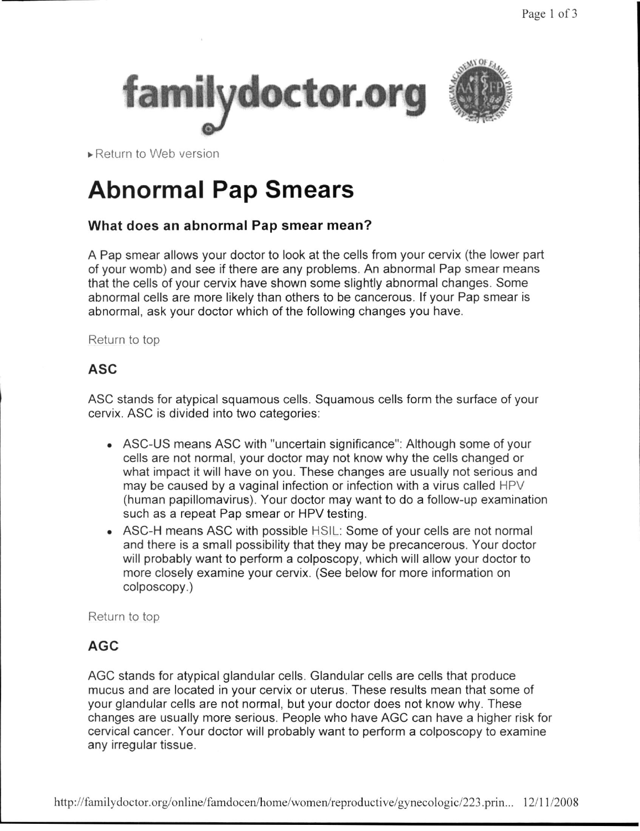



► Return to Web version

# **Abnormal Pap Smears**

## **What does an abnormal Pap smear mean?**

A Pap smear allows your doctor to look at the cells from your cervix (the lower part of your womb) and see if there are any problems. An abnormal Pap smear means that the cells of your cervix have shown some slightly abnormal changes. Some abnormal cells are more likely than others to be cancerous. If your Pap smear is abnormal, ask your doctor which of the following changes you have.

Return to top

# **ASC**

ASC stands for atypical squamous cells. Squamous cells form the surface of your cervix. ASC is divided into two categories:

- ASC-US means ASC with "uncertain significance": Although some of your cells are not normal, your doctor may not know why the cells changed or what impact it will have on you. These changes are usually not serious and may be caused by a vaginal infection or infection with a virus called HPV (human papillomavirus). Your doctor may want to do a follow-up examination such as a repeat Pap smear or HPV testing.
- ASC-H means ASC with possible HSIL: Some of your cells are not normal and there is a small possibility that they may be precancerous. Your doctor will probably want to perform a colposcopy, which will allow your doctor to more closely examine your cervix. (See below for more information on colposcopy.)

Return to top

# **AGC**

AGC stands for atypical glandular cells. Glandular cells are cells that produce mucus and are located in your cervix or uterus. These results mean that some of your glandular cells are not normal, but your doctor does not know why. These changes are usually more serious. People who have AGC can have a higher risk for cervical cancer. Your doctor will probably want to perform a colposcopy to examine any irregular tissue.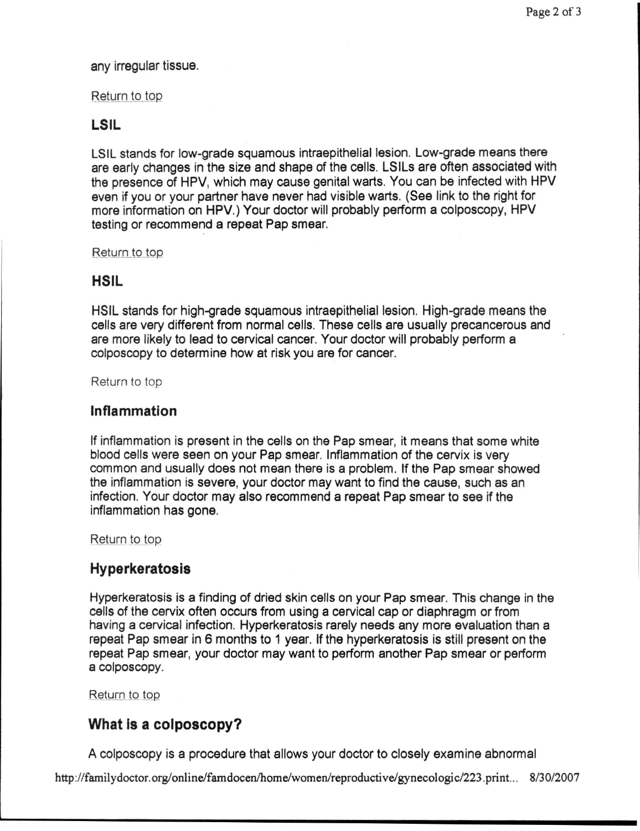#### any irregular tissue.

#### Return to top

#### LSIL

LSIL stands for low-grade squamous intraepithelial lesion. Low-grade means there are early changes in the size and shape of the cells. LSILs are often associated with the presence of HPV, which may cause genital warts. You can be infected with HPV even if you or your partner have never had visible warts. **(See** link to the right for more information on HPV.) Your doctor will probably perform a colposcopy, HPV testing or recommend a repeat Pap smear.

Return to top

### HSIL

HSIL stands for high-grade squamous intraepithelial lesion. High-grade means the cells are very different from normal cells. These cells are usually precancerous and are more likely to lead to cervical cancer. Your doctor will probably perform a colposcopy to determine how at risk you are for cancer.

Return to top

#### **Inflammation**

If inflammation is present in the cells on the Pap smear, it means that some white blood cells were seen on your Pap smear. Inflammation of the cervix is very common and usually does not mean there is a problem. If the Pap smear showed the inflammation is severe, your doctor may want to find the cause, such as an infection. Your doctor may also recommend a repeat Pap smear to see if the inflammation has gone.

Return to top

### **Hyperkeratosis**

Hyperkeratosis is a finding of dried skin cells on your Pap smear. This change in the cells of the cervix often occurs from using a cervical cap or diaphragm or from having a cervical infection. Hyperkeratosis rarely needs any more evaluation than a repeat Pap smear in 6 months to 1 year. If the hyperkeratosis is still present on the repeat Pap smear, your doctor may want to perform another Pap smear or perform a colposcopy.

Return to top

## **What Is a colposcopy?**

A colposcopy is a procedure that allows your doctor to closely examine abnormal

http://familydoctor.org/online/famdocen/home/women/reproductive/gynecologic/223.print.. . 8/30/2007